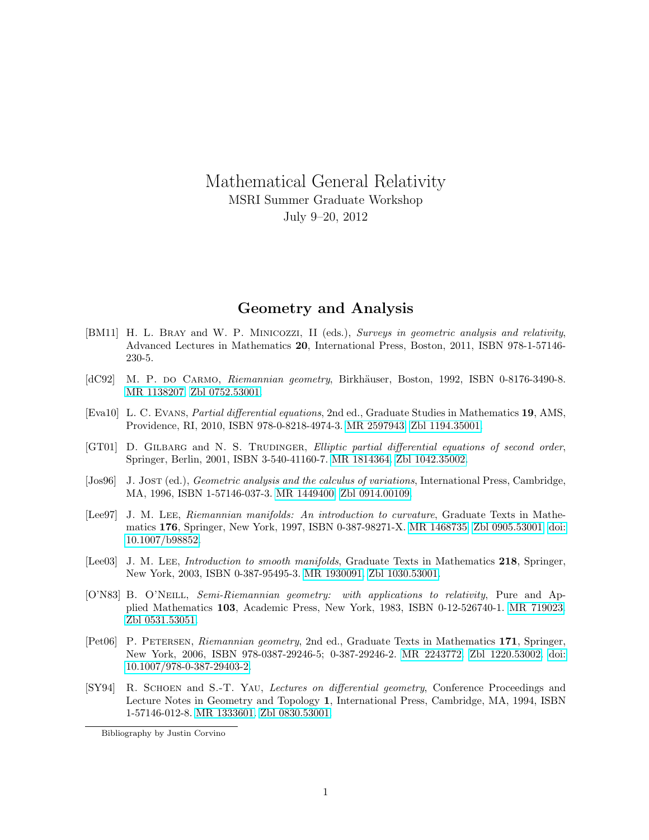Mathematical General Relativity MSRI Summer Graduate Workshop July 9–20, 2012

## Geometry and Analysis

- [BM11] H. L. Bray and W. P. Minicozzi, II (eds.), Surveys in geometric analysis and relativity, Advanced Lectures in Mathematics 20, International Press, Boston, 2011, ISBN 978-1-57146- 230-5.
- [dC92] M. P. do Carmo, Riemannian geometry, Birkhäuser, Boston, 1992, ISBN 0-8176-3490-8. [MR 1138207.](http://www.ams.org/mathscinet-getitem?mr=1138207) [Zbl 0752.53001.](http://www.zentralblatt-math.org/zmath/en/search/?q=an:0752.53001)
- [Eva10] L. C. Evans, Partial differential equations, 2nd ed., Graduate Studies in Mathematics 19, AMS, Providence, RI, 2010, ISBN 978-0-8218-4974-3. [MR 2597943.](http://www.ams.org/mathscinet-getitem?mr=2597943) [Zbl 1194.35001.](http://www.zentralblatt-math.org/zmath/en/search/?q=an:1194.35001)
- [GT01] D. GILBARG and N. S. TRUDINGER, *Elliptic partial differential equations of second order*, Springer, Berlin, 2001, ISBN 3-540-41160-7. [MR 1814364.](http://www.ams.org/mathscinet-getitem?mr=1814364) [Zbl 1042.35002.](http://www.zentralblatt-math.org/zmath/en/search/?q=an:1042.35002)
- [Jos96] J. Jost (ed.), Geometric analysis and the calculus of variations, International Press, Cambridge, MA, 1996, ISBN 1-57146-037-3. [MR 1449400.](http://www.ams.org/mathscinet-getitem?mr=1449400) [Zbl 0914.00109.](http://www.zentralblatt-math.org/zmath/en/search/?q=an:0914.00109)
- [Lee97] J. M. LEE, Riemannian manifolds: An introduction to curvature, Graduate Texts in Mathematics 176, Springer, New York, 1997, ISBN 0-387-98271-X. [MR 1468735.](http://www.ams.org/mathscinet-getitem?mr=1468735) [Zbl 0905.53001.](http://www.zentralblatt-math.org/zmath/en/search/?q=an:0905.53001) [doi:](http://dx.doi.org/10.1007/b98852) [10.1007/b98852.](http://dx.doi.org/10.1007/b98852)
- [Lee03] J. M. LEE, *Introduction to smooth manifolds*, Graduate Texts in Mathematics 218, Springer, New York, 2003, ISBN 0-387-95495-3. [MR 1930091.](http://www.ams.org/mathscinet-getitem?mr=1930091) [Zbl 1030.53001.](http://www.zentralblatt-math.org/zmath/en/search/?q=an:1030.53001)
- [O'N83] B. O'Neill, Semi-Riemannian geometry: with applications to relativity, Pure and Applied Mathematics 103, Academic Press, New York, 1983, ISBN 0-12-526740-1. [MR 719023.](http://www.ams.org/mathscinet-getitem?mr=719023) [Zbl 0531.53051.](http://www.zentralblatt-math.org/zmath/en/search/?q=an:0531.53051)
- [Pet06] P. PETERSEN, Riemannian geometry, 2nd ed., Graduate Texts in Mathematics 171, Springer, New York, 2006, ISBN 978-0387-29246-5; 0-387-29246-2. [MR 2243772.](http://www.ams.org/mathscinet-getitem?mr=2243772) [Zbl 1220.53002.](http://www.zentralblatt-math.org/zmath/en/search/?q=an:1220.53002) [doi:](http://dx.doi.org/10.1007/978-0-387-29403-2) [10.1007/978-0-387-29403-2.](http://dx.doi.org/10.1007/978-0-387-29403-2)
- [SY94] R. Schoen and S.-T. Yau, Lectures on differential geometry, Conference Proceedings and Lecture Notes in Geometry and Topology 1, International Press, Cambridge, MA, 1994, ISBN 1-57146-012-8. [MR 1333601.](http://www.ams.org/mathscinet-getitem?mr=1333601) [Zbl 0830.53001.](http://www.zentralblatt-math.org/zmath/en/search/?q=an:0830.53001)

Bibliography by Justin Corvino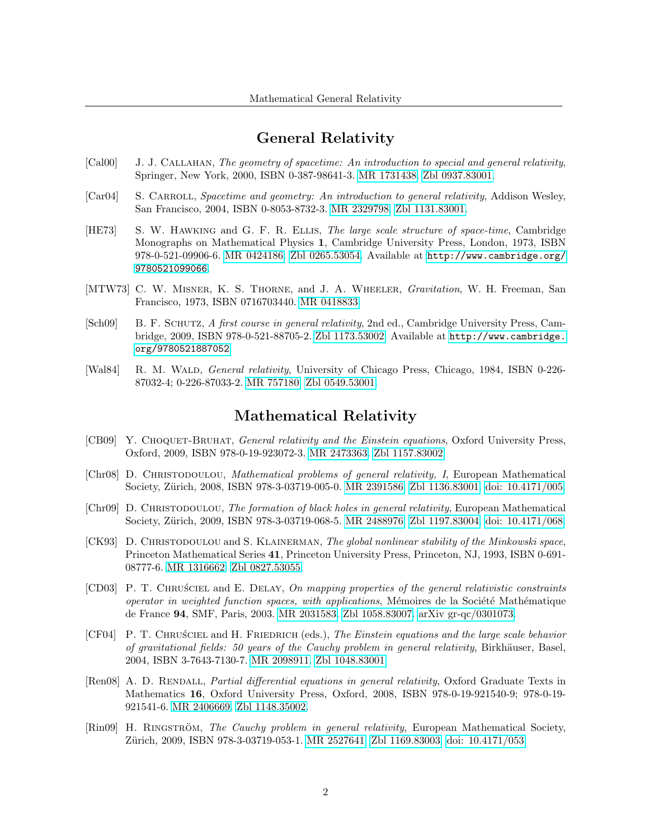## General Relativity

- [Cal00] J. J. Callahan, The geometry of spacetime: An introduction to special and general relativity, Springer, New York, 2000, ISBN 0-387-98641-3. [MR 1731438.](http://www.ams.org/mathscinet-getitem?mr=1731438) [Zbl 0937.83001.](http://www.zentralblatt-math.org/zmath/en/search/?q=an:0937.83001)
- [Car04] S. CARROLL, Spacetime and geometry: An introduction to general relativity, Addison Wesley, San Francisco, 2004, ISBN 0-8053-8732-3. [MR 2329798.](http://www.ams.org/mathscinet-getitem?mr=2329798) [Zbl 1131.83001.](http://www.zentralblatt-math.org/zmath/en/search/?q=an:1131.83001)
- [HE73] S. W. Hawking and G. F. R. Ellis, The large scale structure of space-time, Cambridge Monographs on Mathematical Physics 1, Cambridge University Press, London, 1973, ISBN 978-0-521-09906-6. [MR 0424186.](http://www.ams.org/mathscinet-getitem?mr=0424186) [Zbl 0265.53054.](http://www.zentralblatt-math.org/zmath/en/search/?q=an:0265.53054) Available at [http://www.cambridge.org/](http://www.cambridge.org/9780521099066) [9780521099066](http://www.cambridge.org/9780521099066).
- [MTW73] C. W. MISNER, K. S. THORNE, and J. A. WHEELER, *Gravitation*, W. H. Freeman, San Francisco, 1973, ISBN 0716703440. [MR 0418833.](http://www.ams.org/mathscinet-getitem?mr=0418833)
- [Sch09] B. F. Schutz, A first course in general relativity, 2nd ed., Cambridge University Press, Cambridge, 2009, ISBN 978-0-521-88705-2. [Zbl 1173.53002.](http://www.zentralblatt-math.org/zmath/en/search/?q=an:1173.53002) Available at [http://www.cambridge.](http://www.cambridge.org/9780521887052) [org/9780521887052](http://www.cambridge.org/9780521887052).
- [Wal84] R. M. Wald, General relativity, University of Chicago Press, Chicago, 1984, ISBN 0-226- 87032-4; 0-226-87033-2. [MR 757180.](http://www.ams.org/mathscinet-getitem?mr=757180) [Zbl 0549.53001.](http://www.zentralblatt-math.org/zmath/en/search/?q=an:0549.53001)

# Mathematical Relativity

- [CB09] Y. Choquet-Bruhat, General relativity and the Einstein equations, Oxford University Press, Oxford, 2009, ISBN 978-0-19-923072-3. [MR 2473363.](http://www.ams.org/mathscinet-getitem?mr=2473363) [Zbl 1157.83002.](http://www.zentralblatt-math.org/zmath/en/search/?q=an:1157.83002)
- [Chr08] D. Christodoulou, Mathematical problems of general relativity, I, European Mathematical Society, Zürich, 2008, ISBN 978-3-03719-005-0. [MR 2391586.](http://www.ams.org/mathscinet-getitem?mr=2391586) [Zbl 1136.83001.](http://www.zentralblatt-math.org/zmath/en/search/?q=an:1136.83001) [doi: 10.4171/005.](http://dx.doi.org/10.4171/005)
- [Chr09] D. Christodoulou, The formation of black holes in general relativity, European Mathematical Society, Zürich, 2009, ISBN 978-3-03719-068-5. [MR 2488976.](http://www.ams.org/mathscinet-getitem?mr=2488976) [Zbl 1197.83004.](http://www.zentralblatt-math.org/zmath/en/search/?q=an:1197.83004) [doi: 10.4171/068.](http://dx.doi.org/10.4171/068)
- [CK93] D. Christodoulou and S. Klainerman, The global nonlinear stability of the Minkowski space, Princeton Mathematical Series 41, Princeton University Press, Princeton, NJ, 1993, ISBN 0-691- 08777-6. [MR 1316662.](http://www.ams.org/mathscinet-getitem?mr=1316662) [Zbl 0827.53055.](http://www.zentralblatt-math.org/zmath/en/search/?q=an:0827.53055)
- [CD03] P. T. CHRUSCIEL and E. DELAY, On mapping properties of the general relativistic constraints operator in weighted function spaces, with applications, Mémoires de la Société Mathématique de France 94, SMF, Paris, 2003. [MR 2031583.](http://www.ams.org/mathscinet-getitem?mr=2031583) [Zbl 1058.83007.](http://www.zentralblatt-math.org/zmath/en/search/?q=an:1058.83007) [arXiv gr-qc/0301073.](http://www.arxiv.org/abs/gr-qc/0301073)
- [CF04] P. T. CHRUSCIEL and H. FRIEDRICH (eds.), The Einstein equations and the large scale behavior of gravitational fields: 50 years of the Cauchy problem in general relativity, Birkhäuser, Basel, 2004, ISBN 3-7643-7130-7. [MR 2098911.](http://www.ams.org/mathscinet-getitem?mr=2098911) [Zbl 1048.83001.](http://www.zentralblatt-math.org/zmath/en/search/?q=an:1048.83001)
- [Ren08] A. D. RENDALL, *Partial differential equations in general relativity*, Oxford Graduate Texts in Mathematics 16, Oxford University Press, Oxford, 2008, ISBN 978-0-19-921540-9; 978-0-19- 921541-6. [MR 2406669.](http://www.ams.org/mathscinet-getitem?mr=2406669) [Zbl 1148.35002.](http://www.zentralblatt-math.org/zmath/en/search/?q=an:1148.35002)
- [Rin09] H. RINGSTRÖM, The Cauchy problem in general relativity, European Mathematical Society, Zürich, 2009, ISBN 978-3-03719-053-1. [MR 2527641.](http://www.ams.org/mathscinet-getitem?mr=2527641) [Zbl 1169.83003.](http://www.zentralblatt-math.org/zmath/en/search/?q=an:1169.83003) [doi: 10.4171/053.](http://dx.doi.org/10.4171/053)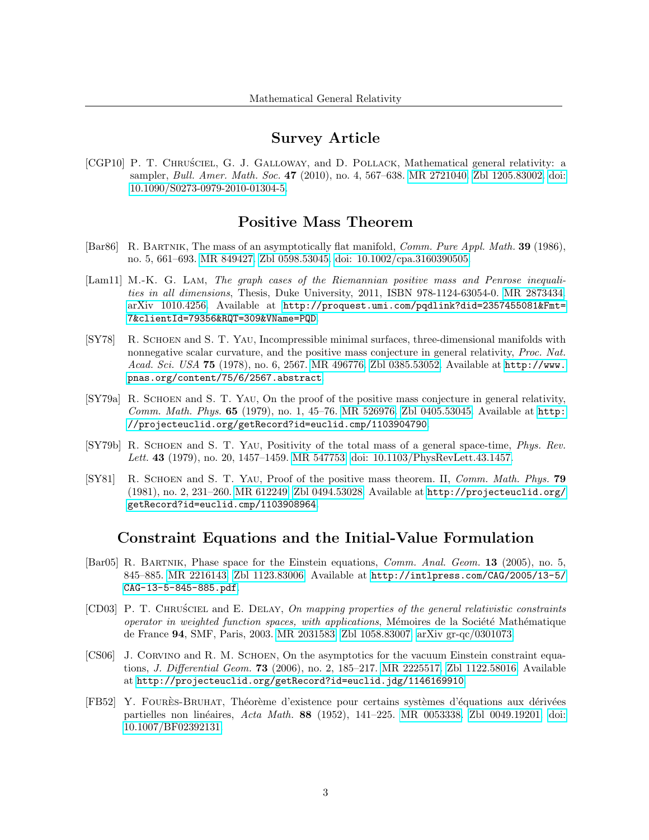## Survey Article

[CGP10] P. T. CHRUSCIEL, G. J. GALLOWAY, and D. POLLACK, Mathematical general relativity: a sampler, *Bull. Amer. Math. Soc.* 47 (2010), no. 4, 567–638. [MR 2721040.](http://www.ams.org/mathscinet-getitem?mr=2721040) [Zbl 1205.83002.](http://www.zentralblatt-math.org/zmath/en/search/?q=an:1205.83002) [doi:](http://dx.doi.org/10.1090/S0273-0979-2010-01304-5) [10.1090/S0273-0979-2010-01304-5.](http://dx.doi.org/10.1090/S0273-0979-2010-01304-5)

### Positive Mass Theorem

- [Bar86] R. Bartnik, The mass of an asymptotically flat manifold, Comm. Pure Appl. Math. 39 (1986), no. 5, 661–693. [MR 849427.](http://www.ams.org/mathscinet-getitem?mr=849427) [Zbl 0598.53045.](http://www.zentralblatt-math.org/zmath/en/search/?q=an:0598.53045) [doi: 10.1002/cpa.3160390505.](http://dx.doi.org/10.1002/cpa.3160390505)
- [Lam11] M.-K. G. LAM, The graph cases of the Riemannian positive mass and Penrose inequalities in all dimensions, Thesis, Duke University, 2011, ISBN 978-1124-63054-0. [MR 2873434.](http://www.ams.org/mathscinet-getitem?mr=2873434) [arXiv 1010.4256.](http://www.arxiv.org/abs/1010.4256) Available at [http://proquest.umi.com/pqdlink?did=2357455081&Fmt=](http://proquest.umi.com/pqdlink?did=2357455081&Fmt=7&clientI d=79356&RQT=309&VName=PQD) [7&clientId=79356&RQT=309&VName=PQD](http://proquest.umi.com/pqdlink?did=2357455081&Fmt=7&clientI d=79356&RQT=309&VName=PQD).
- [SY78] R. Schoen and S. T. Yau, Incompressible minimal surfaces, three-dimensional manifolds with nonnegative scalar curvature, and the positive mass conjecture in general relativity, *Proc. Nat.* Acad. Sci. USA 75 (1978), no. 6, 2567. [MR 496776.](http://www.ams.org/mathscinet-getitem?mr=496776) [Zbl 0385.53052.](http://www.zentralblatt-math.org/zmath/en/search/?q=an:0385.53052) Available at [http://www.](http://www.pnas.org/content/75/6/2567.abstract) [pnas.org/content/75/6/2567.abstract](http://www.pnas.org/content/75/6/2567.abstract).
- [SY79a] R. Schoen and S. T. Yau, On the proof of the positive mass conjecture in general relativity, Comm. Math. Phys. 65 (1979), no. 1, 45–76. [MR 526976.](http://www.ams.org/mathscinet-getitem?mr=526976) [Zbl 0405.53045.](http://www.zentralblatt-math.org/zmath/en/search/?q=an:0405.53045) Available at [http:](http://projecteuclid.org/getRecord?id=euclid.cmp/1103904790) [//projecteuclid.org/getRecord?id=euclid.cmp/1103904790](http://projecteuclid.org/getRecord?id=euclid.cmp/1103904790).
- [SY79b] R. Schoen and S. T. Yau, Positivity of the total mass of a general space-time, Phys. Rev. Lett. 43 (1979), no. 20, 1457–1459. [MR 547753.](http://www.ams.org/mathscinet-getitem?mr=547753) [doi: 10.1103/PhysRevLett.43.1457.](http://dx.doi.org/10.1103/PhysRevLett.43.1457)
- [SY81] R. SCHOEN and S. T. YAU, Proof of the positive mass theorem. II, *Comm. Math. Phys.* **79** (1981), no. 2, 231–260. [MR 612249.](http://www.ams.org/mathscinet-getitem?mr=612249) [Zbl 0494.53028.](http://www.zentralblatt-math.org/zmath/en/search/?q=an:0494.53028) Available at [http://projecteuclid.org/](http://projecteuclid.org/getRecord?id=euclid.cmp/1103908964) [getRecord?id=euclid.cmp/1103908964](http://projecteuclid.org/getRecord?id=euclid.cmp/1103908964).

#### Constraint Equations and the Initial-Value Formulation

- [Bar05] R. Bartnik, Phase space for the Einstein equations, Comm. Anal. Geom. 13 (2005), no. 5, 845–885. [MR 2216143.](http://www.ams.org/mathscinet-getitem?mr=2216143) [Zbl 1123.83006.](http://www.zentralblatt-math.org/zmath/en/search/?q=an:1123.83006) Available at [http://intlpress.com/CAG/2005/13-5/](http://intlpress.com/CAG/2005/13-5/CAG-13-5-845-885.pdf) [CAG-13-5-845-885.pdf](http://intlpress.com/CAG/2005/13-5/CAG-13-5-845-885.pdf).
- [CD03] P. T. Chru´sciel and E. Delay, On mapping properties of the general relativistic constraints operator in weighted function spaces, with applications, Mémoires de la Société Mathématique de France 94, SMF, Paris, 2003. [MR 2031583.](http://www.ams.org/mathscinet-getitem?mr=2031583) [Zbl 1058.83007.](http://www.zentralblatt-math.org/zmath/en/search/?q=an:1058.83007) [arXiv gr-qc/0301073.](http://www.arxiv.org/abs/gr-qc/0301073)
- [CS06] J. CORVINO and R. M. SCHOEN, On the asymptotics for the vacuum Einstein constraint equations, J. Differential Geom. 73 (2006), no. 2, 185–217. [MR 2225517.](http://www.ams.org/mathscinet-getitem?mr=2225517) [Zbl 1122.58016.](http://www.zentralblatt-math.org/zmath/en/search/?q=an:1122.58016) Available at <http://projecteuclid.org/getRecord?id=euclid.jdg/1146169910>.
- [FB52] Y. Foures-Bruhat ` , Th´eor`eme d'existence pour certains syst`emes d'´equations aux d´eriv´ees partielles non linéaires, Acta Math. 88 (1952), 141–225. [MR 0053338.](http://www.ams.org/mathscinet-getitem?mr=0053338) [Zbl 0049.19201.](http://www.zentralblatt-math.org/zmath/en/search/?q=an:0049.19201) [doi:](http://dx.doi.org/10.1007/BF02392131) [10.1007/BF02392131.](http://dx.doi.org/10.1007/BF02392131)